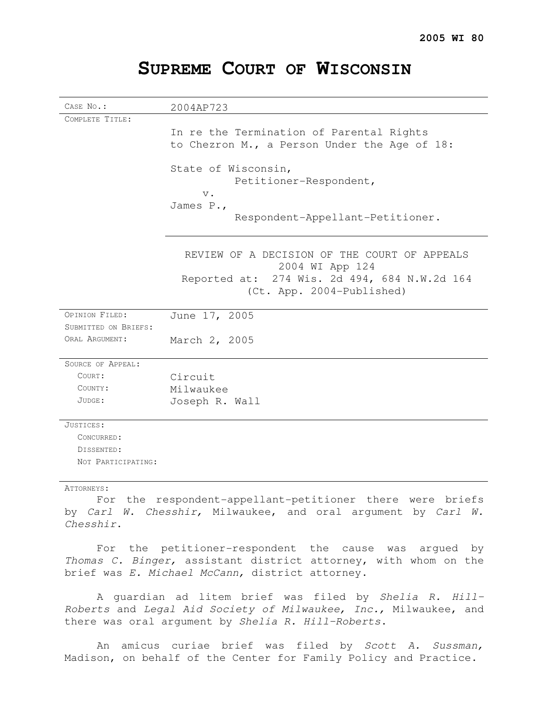| CASE No.:            | 2004AP723                                                                                                                                    |
|----------------------|----------------------------------------------------------------------------------------------------------------------------------------------|
| COMPLETE TITLE:      |                                                                                                                                              |
|                      | In re the Termination of Parental Rights<br>to Chezron M., a Person Under the Age of 18:                                                     |
|                      | State of Wisconsin,<br>Petitioner-Respondent,<br>$V$ .                                                                                       |
|                      | James P.,                                                                                                                                    |
|                      | Respondent-Appellant-Petitioner.                                                                                                             |
|                      | REVIEW OF A DECISION OF THE COURT OF APPEALS<br>2004 WI App 124<br>Reported at: 274 Wis. 2d 494, 684 N.W.2d 164<br>(Ct. App. 2004-Published) |
|                      |                                                                                                                                              |
| OPINION FILED:       | June 17, 2005                                                                                                                                |
| SUBMITTED ON BRIEFS: |                                                                                                                                              |
| ORAL ARGUMENT:       | March 2, 2005                                                                                                                                |
| SOURCE OF APPEAL:    |                                                                                                                                              |
| COURT:               | Circuit                                                                                                                                      |
| COUNTY:              | Milwaukee                                                                                                                                    |
| JUDGE:               | Joseph R. Wall                                                                                                                               |
| JUSTICES:            |                                                                                                                                              |
| CONCURRED:           |                                                                                                                                              |
| DISSENTED:           |                                                                                                                                              |
| NOT PARTICIPATING:   |                                                                                                                                              |

# **SUPREME COURT OF WISCONSIN**

### ATTORNEYS:

For the respondent-appellant-petitioner there were briefs by Carl W. Chesshir, Milwaukee, and oral argument by Carl W. Chesshir.

For the petitioner-respondent the cause was argued by Thomas C. Binger, assistant district attorney, with whom on the brief was E. Michael McCann, district attorney.

A guardian ad litem brief was filed by Shelia R. Hill-Roberts and Legal Aid Society of Milwaukee, Inc., Milwaukee, and there was oral argument by Shelia R. Hill-Roberts.

An amicus curiae brief was filed by Scott A. Sussman, Madison, on behalf of the Center for Family Policy and Practice.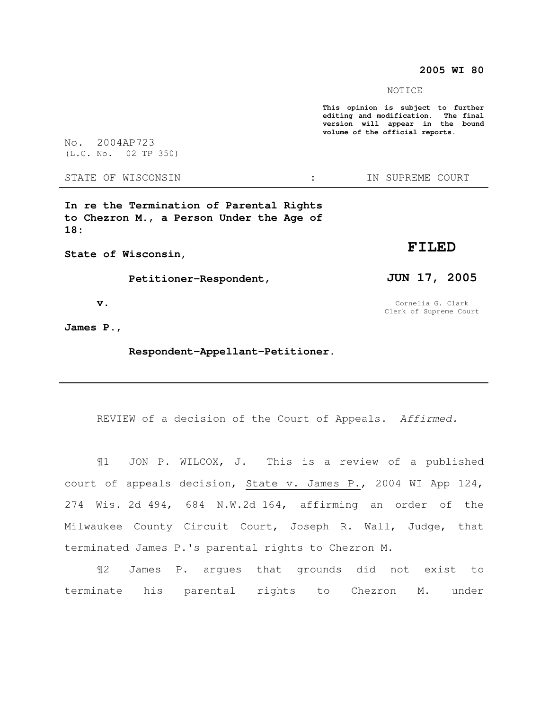## **2005 WI 80**

NOTICE

**This opinion is subject to further editing and modification. The final version will appear in the bound volume of the official reports.** 

No. 2004AP723 (L.C. No. 02 TP 350)

STATE OF WISCONSIN THE STATE OF WISCONSIN THE STATE OF STATE OF STATE OF STATE OF STATE OF STATE OF STATE OF STATE OF STATE OF STATE OF STATE OF STATE OF STATE OF STATE OF STATE OF STATE OF STATE OF STATE OF STATE OF STATE

**In re the Termination of Parental Rights to Chezron M., a Person Under the Age of 18:** 

**State of Wisconsin,** 

 **Petitioner-Respondent,** 

 **v.** 

**James P.,** 

 **Respondent-Appellant-Petitioner.** 

REVIEW of a decision of the Court of Appeals. Affirmed.

¶1 JON P. WILCOX, J. This is a review of a published court of appeals decision, State v. James P., 2004 WI App 124, 274 Wis. 2d 494, 684 N.W.2d 164, affirming an order of the Milwaukee County Circuit Court, Joseph R. Wall, Judge, that terminated James P.'s parental rights to Chezron M.

¶2 James P. argues that grounds did not exist to terminate his parental rights to Chezron M. under

# **FILED**

**JUN 17, 2005** 

Cornelia G. Clark Clerk of Supreme Court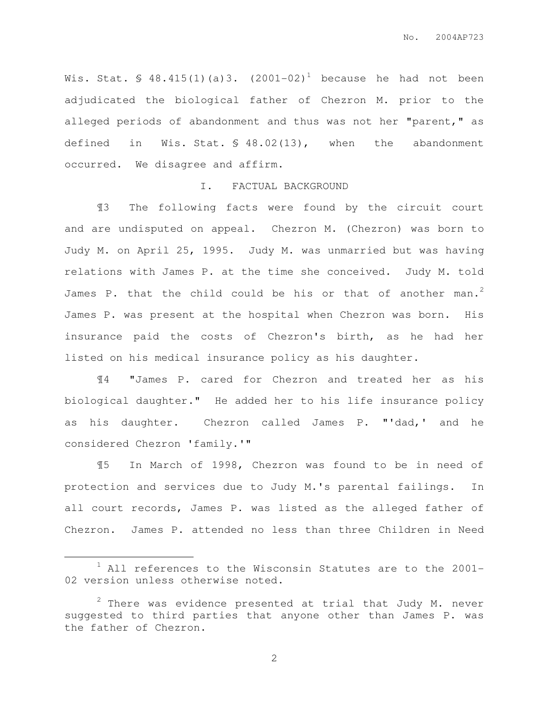Wis. Stat.  $\frac{1}{2}$  48.415(1)(a)3. (2001-02)<sup>1</sup> because he had not been adjudicated the biological father of Chezron M. prior to the alleged periods of abandonment and thus was not her "parent," as defined in Wis. Stat. § 48.02(13), when the abandonment occurred. We disagree and affirm.

#### I. FACTUAL BACKGROUND

 ¶3 The following facts were found by the circuit court and are undisputed on appeal. Chezron M. (Chezron) was born to Judy M. on April 25, 1995. Judy M. was unmarried but was having relations with James P. at the time she conceived. Judy M. told James P. that the child could be his or that of another man.<sup>2</sup> James P. was present at the hospital when Chezron was born. His insurance paid the costs of Chezron's birth, as he had her listed on his medical insurance policy as his daughter.

¶4 "James P. cared for Chezron and treated her as his biological daughter." He added her to his life insurance policy as his daughter. Chezron called James P. "'dad,' and he considered Chezron 'family.'"

¶5 In March of 1998, Chezron was found to be in need of protection and services due to Judy M.'s parental failings. In all court records, James P. was listed as the alleged father of Chezron. James P. attended no less than three Children in Need

 $\overline{a}$ 

<sup>1</sup> All references to the Wisconsin Statutes are to the 2001- 02 version unless otherwise noted.

 $2$  There was evidence presented at trial that Judy M. never suggested to third parties that anyone other than James P. was the father of Chezron.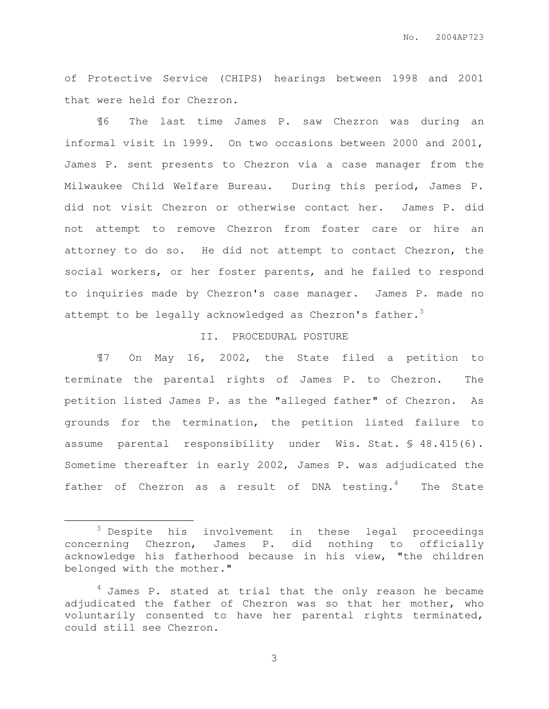of Protective Service (CHIPS) hearings between 1998 and 2001 that were held for Chezron.

¶6 The last time James P. saw Chezron was during an informal visit in 1999. On two occasions between 2000 and 2001, James P. sent presents to Chezron via a case manager from the Milwaukee Child Welfare Bureau. During this period, James P. did not visit Chezron or otherwise contact her. James P. did not attempt to remove Chezron from foster care or hire an attorney to do so. He did not attempt to contact Chezron, the social workers, or her foster parents, and he failed to respond to inquiries made by Chezron's case manager. James P. made no attempt to be legally acknowledged as Chezron's father.<sup>3</sup>

# II. PROCEDURAL POSTURE

 ¶7 On May 16, 2002, the State filed a petition to terminate the parental rights of James P. to Chezron. The petition listed James P. as the "alleged father" of Chezron. As grounds for the termination, the petition listed failure to assume parental responsibility under Wis. Stat. § 48.415(6). Sometime thereafter in early 2002, James P. was adjudicated the father of Chezron as a result of DNA testing. $4$  The State

 $\overline{a}$ 

<sup>&</sup>lt;sup>3</sup> Despite his involvement in these legal proceedings concerning Chezron, James P. did nothing to officially acknowledge his fatherhood because in his view, "the children belonged with the mother."

 $4$  James P. stated at trial that the only reason he became adjudicated the father of Chezron was so that her mother, who voluntarily consented to have her parental rights terminated, could still see Chezron.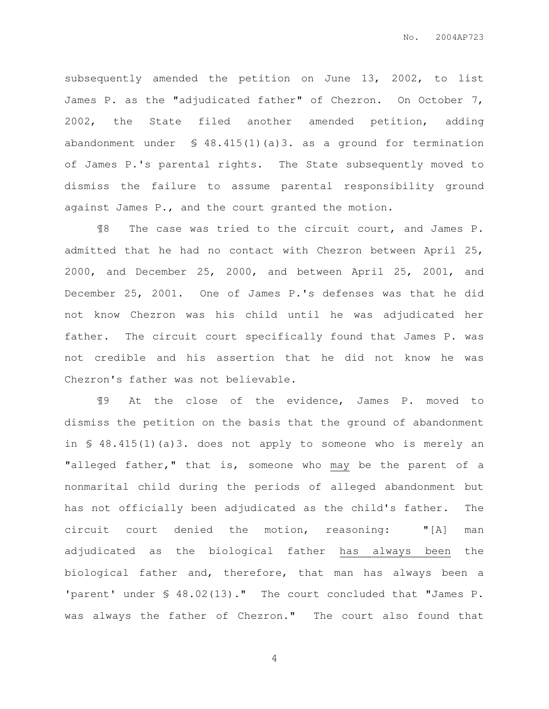subsequently amended the petition on June 13, 2002, to list James P. as the "adjudicated father" of Chezron. On October 7, 2002, the State filed another amended petition, adding abandonment under § 48.415(1)(a)3. as a ground for termination of James P.'s parental rights. The State subsequently moved to dismiss the failure to assume parental responsibility ground against James P., and the court granted the motion.

¶8 The case was tried to the circuit court, and James P. admitted that he had no contact with Chezron between April 25, 2000, and December 25, 2000, and between April 25, 2001, and December 25, 2001. One of James P.'s defenses was that he did not know Chezron was his child until he was adjudicated her father. The circuit court specifically found that James P. was not credible and his assertion that he did not know he was Chezron's father was not believable.

¶9 At the close of the evidence, James P. moved to dismiss the petition on the basis that the ground of abandonment in § 48.415(1)(a)3. does not apply to someone who is merely an "alleged father," that is, someone who may be the parent of a nonmarital child during the periods of alleged abandonment but has not officially been adjudicated as the child's father. The circuit court denied the motion, reasoning: "[A] man adjudicated as the biological father has always been the biological father and, therefore, that man has always been a 'parent' under § 48.02(13)." The court concluded that "James P. was always the father of Chezron." The court also found that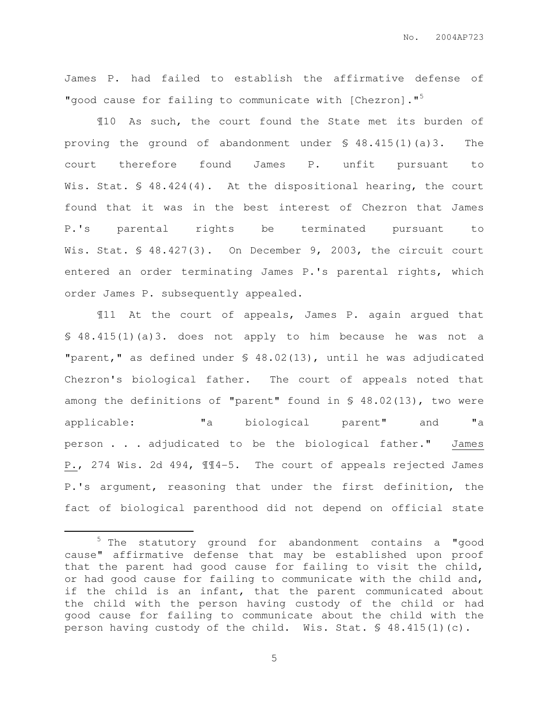James P. had failed to establish the affirmative defense of "good cause for failing to communicate with [Chezron]."<sup>5</sup>

¶10 As such, the court found the State met its burden of proving the ground of abandonment under § 48.415(1)(a)3. The court therefore found James P. unfit pursuant to Wis. Stat. § 48.424(4). At the dispositional hearing, the court found that it was in the best interest of Chezron that James P.'s parental rights be terminated pursuant to Wis. Stat. § 48.427(3). On December 9, 2003, the circuit court entered an order terminating James P.'s parental rights, which order James P. subsequently appealed.

¶11 At the court of appeals, James P. again argued that § 48.415(1)(a)3. does not apply to him because he was not a "parent," as defined under § 48.02(13), until he was adjudicated Chezron's biological father. The court of appeals noted that among the definitions of "parent" found in § 48.02(13), two were applicable: "a biological parent" and "a person . . . adjudicated to be the biological father." James P., 274 Wis. 2d 494, ¶¶4-5. The court of appeals rejected James P.'s argument, reasoning that under the first definition, the fact of biological parenthood did not depend on official state

 $\overline{a}$ 

<sup>5</sup> The statutory ground for abandonment contains a "good cause" affirmative defense that may be established upon proof that the parent had good cause for failing to visit the child, or had good cause for failing to communicate with the child and, if the child is an infant, that the parent communicated about the child with the person having custody of the child or had good cause for failing to communicate about the child with the person having custody of the child. Wis. Stat. § 48.415(1)(c).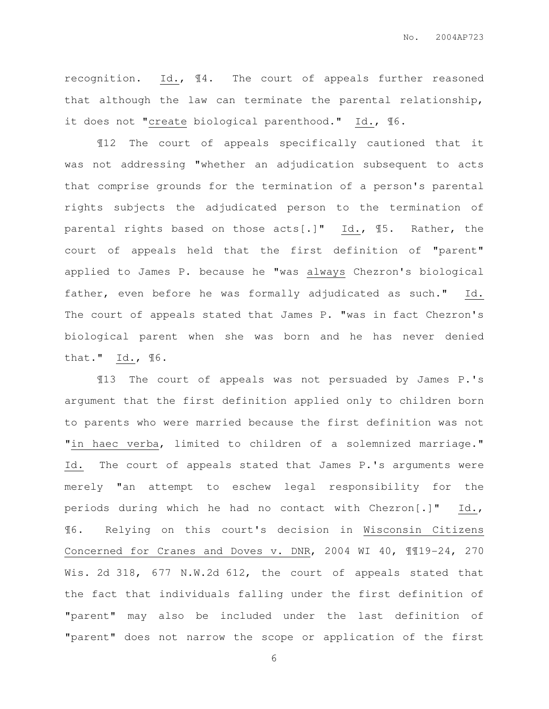recognition. Id., ¶4. The court of appeals further reasoned that although the law can terminate the parental relationship, it does not "create biological parenthood." Id., ¶6.

¶12 The court of appeals specifically cautioned that it was not addressing "whether an adjudication subsequent to acts that comprise grounds for the termination of a person's parental rights subjects the adjudicated person to the termination of parental rights based on those acts[.]" Id., ¶5. Rather, the court of appeals held that the first definition of "parent" applied to James P. because he "was always Chezron's biological father, even before he was formally adjudicated as such." Id. The court of appeals stated that James P. "was in fact Chezron's biological parent when she was born and he has never denied that." Id., ¶6.

¶13 The court of appeals was not persuaded by James P.'s argument that the first definition applied only to children born to parents who were married because the first definition was not "in haec verba, limited to children of a solemnized marriage." Id. The court of appeals stated that James P.'s arguments were merely "an attempt to eschew legal responsibility for the periods during which he had no contact with Chezron[.]" Id., ¶6. Relying on this court's decision in Wisconsin Citizens Concerned for Cranes and Doves v. DNR, 2004 WI 40, ¶¶19-24, 270 Wis. 2d 318, 677 N.W.2d 612, the court of appeals stated that the fact that individuals falling under the first definition of "parent" may also be included under the last definition of "parent" does not narrow the scope or application of the first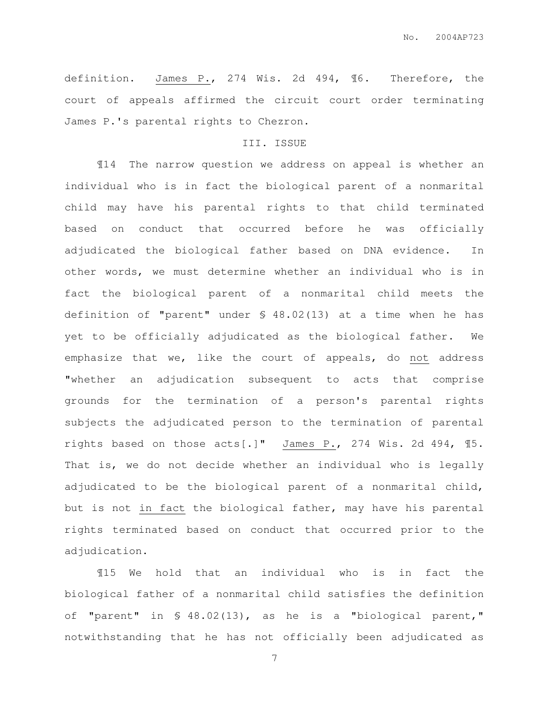definition. James P., 274 Wis. 2d 494, ¶6. Therefore, the court of appeals affirmed the circuit court order terminating James P.'s parental rights to Chezron.

# III. ISSUE

 ¶14 The narrow question we address on appeal is whether an individual who is in fact the biological parent of a nonmarital child may have his parental rights to that child terminated based on conduct that occurred before he was officially adjudicated the biological father based on DNA evidence. In other words, we must determine whether an individual who is in fact the biological parent of a nonmarital child meets the definition of "parent" under § 48.02(13) at a time when he has yet to be officially adjudicated as the biological father. We emphasize that we, like the court of appeals, do not address "whether an adjudication subsequent to acts that comprise grounds for the termination of a person's parental rights subjects the adjudicated person to the termination of parental rights based on those acts[.]" James P., 274 Wis. 2d 494, ¶5. That is, we do not decide whether an individual who is legally adjudicated to be the biological parent of a nonmarital child, but is not in fact the biological father, may have his parental rights terminated based on conduct that occurred prior to the adjudication.

¶15 We hold that an individual who is in fact the biological father of a nonmarital child satisfies the definition of "parent" in § 48.02(13), as he is a "biological parent," notwithstanding that he has not officially been adjudicated as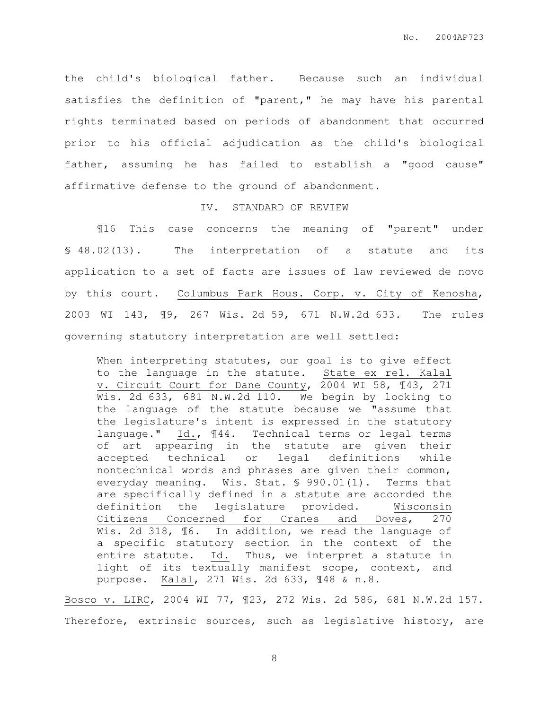the child's biological father. Because such an individual satisfies the definition of "parent," he may have his parental rights terminated based on periods of abandonment that occurred prior to his official adjudication as the child's biological father, assuming he has failed to establish a "good cause" affirmative defense to the ground of abandonment.

### IV. STANDARD OF REVIEW

 ¶16 This case concerns the meaning of "parent" under § 48.02(13). The interpretation of a statute and its application to a set of facts are issues of law reviewed de novo by this court. Columbus Park Hous. Corp. v. City of Kenosha, 2003 WI 143, ¶9, 267 Wis. 2d 59, 671 N.W.2d 633. The rules governing statutory interpretation are well settled:

When interpreting statutes, our goal is to give effect to the language in the statute. State ex rel. Kalal v. Circuit Court for Dane County, 2004 WI 58, ¶43, 271 Wis. 2d 633, 681 N.W.2d 110. We begin by looking to the language of the statute because we "assume that the legislature's intent is expressed in the statutory language." Id., ¶44. Technical terms or legal terms of art appearing in the statute are given their accepted technical or legal definitions while nontechnical words and phrases are given their common, everyday meaning. Wis. Stat. § 990.01(1). Terms that are specifically defined in a statute are accorded the definition the legislature provided. Wisconsin Citizens Concerned for Cranes and Doves, 270 Wis. 2d 318,  $\text{\textsterling}6$ . In addition, we read the language of a specific statutory section in the context of the entire statute. Id. Thus, we interpret a statute in light of its textually manifest scope, context, and purpose. Kalal, 271 Wis. 2d 633, ¶48 & n.8.

Bosco v. LIRC, 2004 WI 77, ¶23, 272 Wis. 2d 586, 681 N.W.2d 157. Therefore, extrinsic sources, such as legislative history, are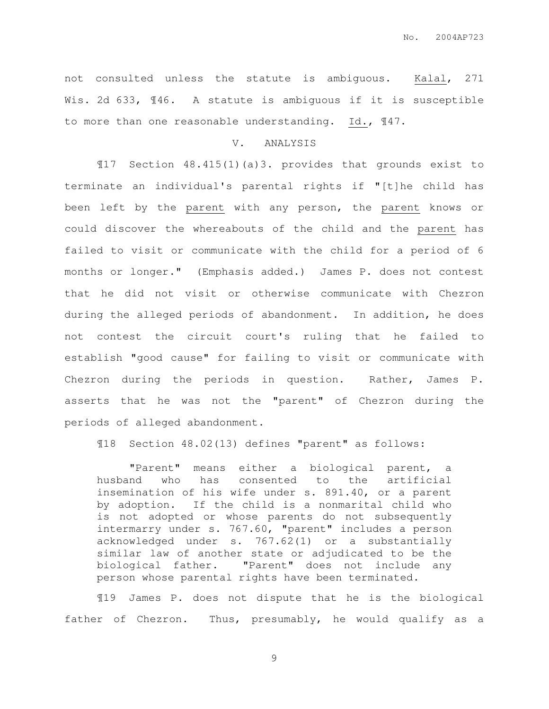not consulted unless the statute is ambiguous. Kalal, 271 Wis. 2d 633, 146. A statute is ambiguous if it is susceptible to more than one reasonable understanding. Id.,  $\mathbb{I}47$ .

## V. ANALYSIS

¶17 Section 48.415(1)(a)3. provides that grounds exist to terminate an individual's parental rights if "[t]he child has been left by the parent with any person, the parent knows or could discover the whereabouts of the child and the parent has failed to visit or communicate with the child for a period of 6 months or longer." (Emphasis added.) James P. does not contest that he did not visit or otherwise communicate with Chezron during the alleged periods of abandonment. In addition, he does not contest the circuit court's ruling that he failed to establish "good cause" for failing to visit or communicate with Chezron during the periods in question. Rather, James P. asserts that he was not the "parent" of Chezron during the periods of alleged abandonment.

¶18 Section 48.02(13) defines "parent" as follows:

"Parent" means either a biological parent, a husband who has consented to the artificial insemination of his wife under s. 891.40, or a parent by adoption. If the child is a nonmarital child who is not adopted or whose parents do not subsequently intermarry under s. 767.60, "parent" includes a person acknowledged under s. 767.62(1) or a substantially similar law of another state or adjudicated to be the biological father. "Parent" does not include any person whose parental rights have been terminated.

¶19 James P. does not dispute that he is the biological father of Chezron. Thus, presumably, he would qualify as a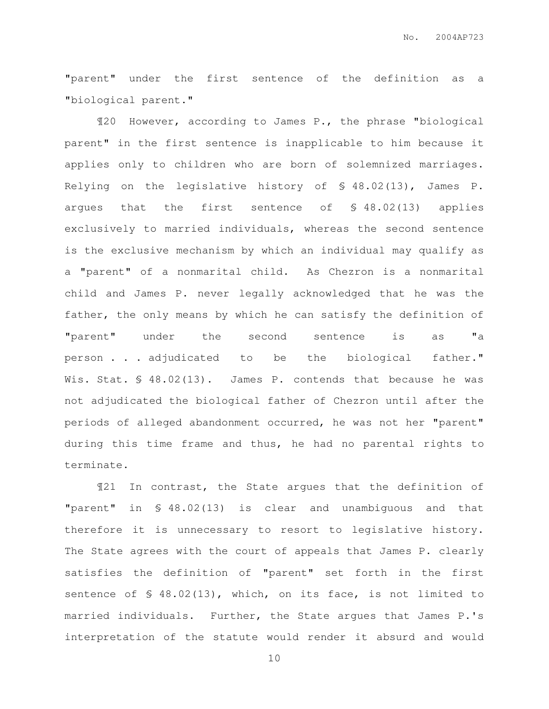"parent" under the first sentence of the definition as a "biological parent."

¶20 However, according to James P., the phrase "biological parent" in the first sentence is inapplicable to him because it applies only to children who are born of solemnized marriages. Relying on the legislative history of § 48.02(13), James P. argues that the first sentence of § 48.02(13) applies exclusively to married individuals, whereas the second sentence is the exclusive mechanism by which an individual may qualify as a "parent" of a nonmarital child. As Chezron is a nonmarital child and James P. never legally acknowledged that he was the father, the only means by which he can satisfy the definition of "parent" under the second sentence is as "a person . . . adjudicated to be the biological father." Wis. Stat. § 48.02(13). James P. contends that because he was not adjudicated the biological father of Chezron until after the periods of alleged abandonment occurred, he was not her "parent" during this time frame and thus, he had no parental rights to terminate.

¶21 In contrast, the State argues that the definition of "parent" in § 48.02(13) is clear and unambiguous and that therefore it is unnecessary to resort to legislative history. The State agrees with the court of appeals that James P. clearly satisfies the definition of "parent" set forth in the first sentence of § 48.02(13), which, on its face, is not limited to married individuals. Further, the State argues that James P.'s interpretation of the statute would render it absurd and would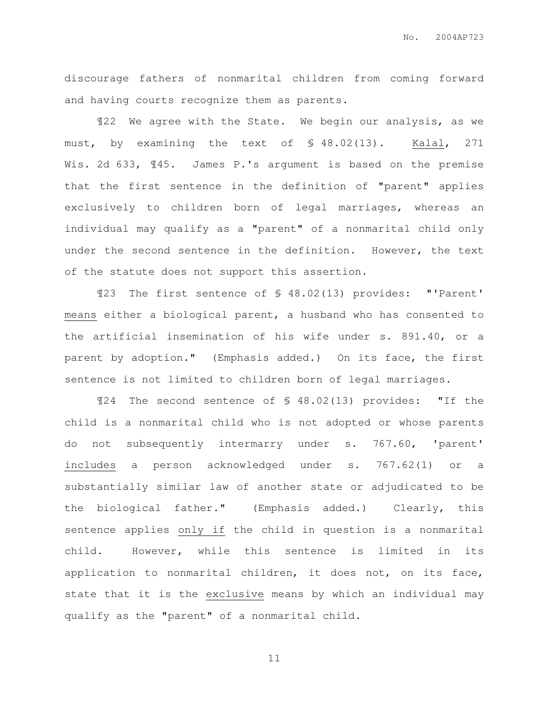discourage fathers of nonmarital children from coming forward and having courts recognize them as parents.

¶22 We agree with the State. We begin our analysis, as we must, by examining the text of § 48.02(13). Kalal, 271 Wis. 2d 633, 145. James P.'s argument is based on the premise that the first sentence in the definition of "parent" applies exclusively to children born of legal marriages, whereas an individual may qualify as a "parent" of a nonmarital child only under the second sentence in the definition. However, the text of the statute does not support this assertion.

¶23 The first sentence of § 48.02(13) provides: "'Parent' means either a biological parent, a husband who has consented to the artificial insemination of his wife under s. 891.40, or a parent by adoption." (Emphasis added.) On its face, the first sentence is not limited to children born of legal marriages.

¶24 The second sentence of § 48.02(13) provides: "If the child is a nonmarital child who is not adopted or whose parents do not subsequently intermarry under s. 767.60, 'parent' includes a person acknowledged under s. 767.62(1) or a substantially similar law of another state or adjudicated to be the biological father." (Emphasis added.) Clearly, this sentence applies only if the child in question is a nonmarital child. However, while this sentence is limited in its application to nonmarital children, it does not, on its face, state that it is the exclusive means by which an individual may qualify as the "parent" of a nonmarital child.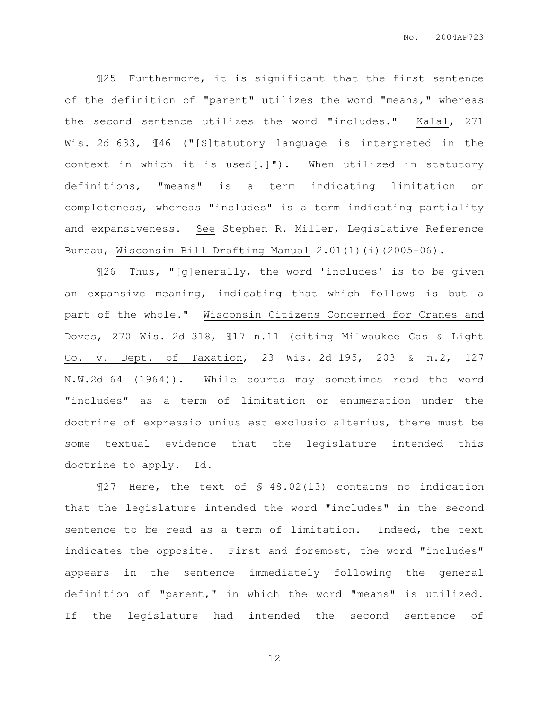¶25 Furthermore, it is significant that the first sentence of the definition of "parent" utilizes the word "means," whereas the second sentence utilizes the word "includes." Kalal, 271 Wis. 2d 633,  $\sqrt{146}$  ("[S]tatutory language is interpreted in the context in which it is used $[.]$ "). When utilized in statutory definitions, "means" is a term indicating limitation or completeness, whereas "includes" is a term indicating partiality and expansiveness. See Stephen R. Miller, Legislative Reference Bureau, Wisconsin Bill Drafting Manual 2.01(1)(i)(2005-06).

¶26 Thus, "[g]enerally, the word 'includes' is to be given an expansive meaning, indicating that which follows is but a part of the whole." Wisconsin Citizens Concerned for Cranes and Doves, 270 Wis. 2d 318, ¶17 n.11 (citing Milwaukee Gas & Light Co. v. Dept. of Taxation, 23 Wis. 2d 195, 203 & n.2, 127 N.W.2d 64 (1964)). While courts may sometimes read the word "includes" as a term of limitation or enumeration under the doctrine of expressio unius est exclusio alterius, there must be some textual evidence that the legislature intended this doctrine to apply. Id.

¶27 Here, the text of § 48.02(13) contains no indication that the legislature intended the word "includes" in the second sentence to be read as a term of limitation. Indeed, the text indicates the opposite. First and foremost, the word "includes" appears in the sentence immediately following the general definition of "parent," in which the word "means" is utilized. If the legislature had intended the second sentence of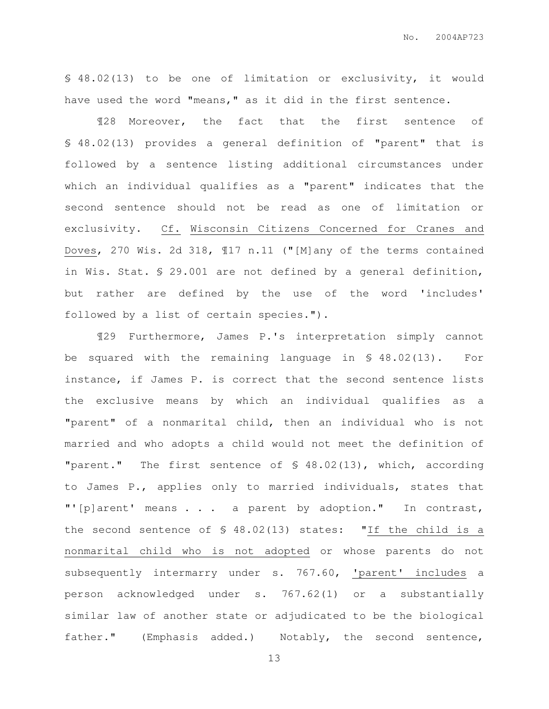§ 48.02(13) to be one of limitation or exclusivity, it would have used the word "means," as it did in the first sentence.

¶28 Moreover, the fact that the first sentence of § 48.02(13) provides a general definition of "parent" that is followed by a sentence listing additional circumstances under which an individual qualifies as a "parent" indicates that the second sentence should not be read as one of limitation or exclusivity. Cf. Wisconsin Citizens Concerned for Cranes and Doves, 270 Wis. 2d 318, ¶17 n.11 ("[M]any of the terms contained in Wis. Stat. § 29.001 are not defined by a general definition, but rather are defined by the use of the word 'includes' followed by a list of certain species.").

¶29 Furthermore, James P.'s interpretation simply cannot be squared with the remaining language in § 48.02(13). For instance, if James P. is correct that the second sentence lists the exclusive means by which an individual qualifies as a "parent" of a nonmarital child, then an individual who is not married and who adopts a child would not meet the definition of "parent." The first sentence of § 48.02(13), which, according to James P., applies only to married individuals, states that "'[p]arent' means . . . a parent by adoption." In contrast, the second sentence of § 48.02(13) states: "If the child is a nonmarital child who is not adopted or whose parents do not subsequently intermarry under s. 767.60, 'parent' includes a person acknowledged under s. 767.62(1) or a substantially similar law of another state or adjudicated to be the biological father." (Emphasis added.) Notably, the second sentence,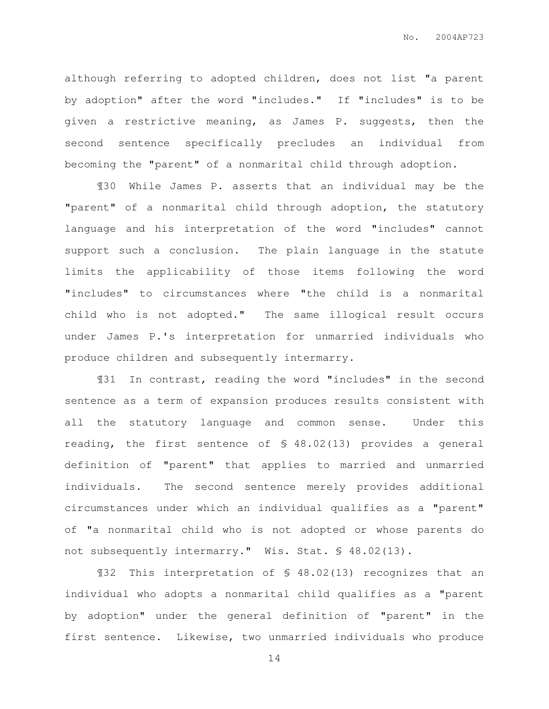although referring to adopted children, does not list "a parent by adoption" after the word "includes." If "includes" is to be given a restrictive meaning, as James P. suggests, then the second sentence specifically precludes an individual from becoming the "parent" of a nonmarital child through adoption.

¶30 While James P. asserts that an individual may be the "parent" of a nonmarital child through adoption, the statutory language and his interpretation of the word "includes" cannot support such a conclusion. The plain language in the statute limits the applicability of those items following the word "includes" to circumstances where "the child is a nonmarital child who is not adopted." The same illogical result occurs under James P.'s interpretation for unmarried individuals who produce children and subsequently intermarry.

¶31 In contrast, reading the word "includes" in the second sentence as a term of expansion produces results consistent with all the statutory language and common sense. Under this reading, the first sentence of § 48.02(13) provides a general definition of "parent" that applies to married and unmarried individuals. The second sentence merely provides additional circumstances under which an individual qualifies as a "parent" of "a nonmarital child who is not adopted or whose parents do not subsequently intermarry." Wis. Stat. § 48.02(13).

¶32 This interpretation of § 48.02(13) recognizes that an individual who adopts a nonmarital child qualifies as a "parent by adoption" under the general definition of "parent" in the first sentence. Likewise, two unmarried individuals who produce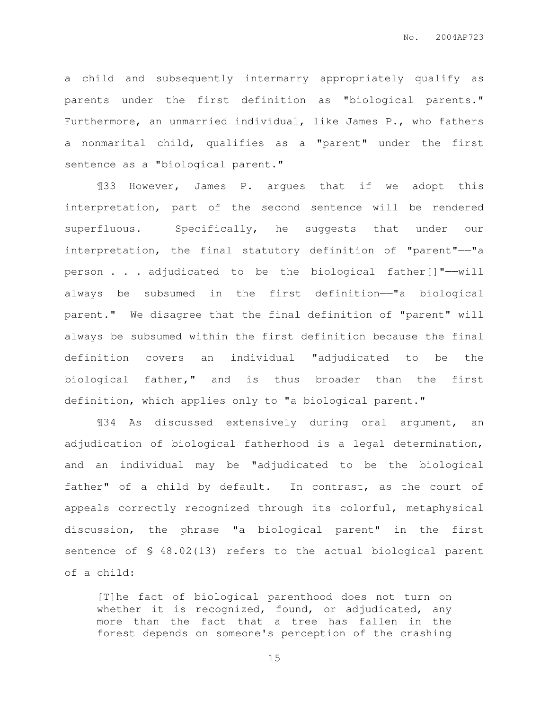a child and subsequently intermarry appropriately qualify as parents under the first definition as "biological parents." Furthermore, an unmarried individual, like James P., who fathers a nonmarital child, qualifies as a "parent" under the first sentence as a "biological parent."

¶33 However, James P. argues that if we adopt this interpretation, part of the second sentence will be rendered superfluous. Specifically, he suggests that under our interpretation, the final statutory definition of "parent"——"a person . . . adjudicated to be the biological father[]"——will always be subsumed in the first definition——"a biological parent." We disagree that the final definition of "parent" will always be subsumed within the first definition because the final definition covers an individual "adjudicated to be the biological father," and is thus broader than the first definition, which applies only to "a biological parent."

¶34 As discussed extensively during oral argument, an adjudication of biological fatherhood is a legal determination, and an individual may be "adjudicated to be the biological father" of a child by default. In contrast, as the court of appeals correctly recognized through its colorful, metaphysical discussion, the phrase "a biological parent" in the first sentence of § 48.02(13) refers to the actual biological parent of a child:

[T]he fact of biological parenthood does not turn on whether it is recognized, found, or adjudicated, any more than the fact that a tree has fallen in the forest depends on someone's perception of the crashing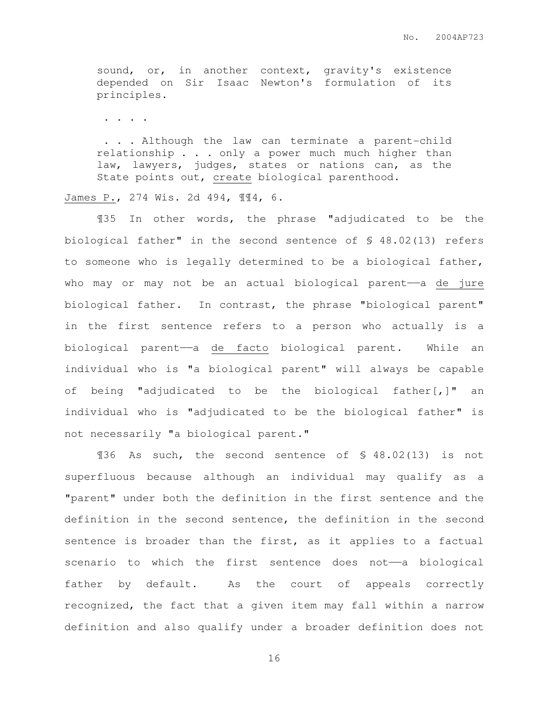sound, or, in another context, gravity's existence depended on Sir Isaac Newton's formulation of its principles.

. . . .

 . . . Although the law can terminate a parent-child relationship . . . only a power much much higher than law, lawyers, judges, states or nations can, as the State points out, create biological parenthood.

James P., 274 Wis. 2d 494, ¶¶4, 6.

¶35 In other words, the phrase "adjudicated to be the biological father" in the second sentence of § 48.02(13) refers to someone who is legally determined to be a biological father, who may or may not be an actual biological parent——a de jure biological father. In contrast, the phrase "biological parent" in the first sentence refers to a person who actually is a biological parent——a de facto biological parent. While an individual who is "a biological parent" will always be capable of being "adjudicated to be the biological father[,]" an individual who is "adjudicated to be the biological father" is not necessarily "a biological parent."

¶36 As such, the second sentence of § 48.02(13) is not superfluous because although an individual may qualify as a "parent" under both the definition in the first sentence and the definition in the second sentence, the definition in the second sentence is broader than the first, as it applies to a factual scenario to which the first sentence does not-a biological father by default. As the court of appeals correctly recognized, the fact that a given item may fall within a narrow definition and also qualify under a broader definition does not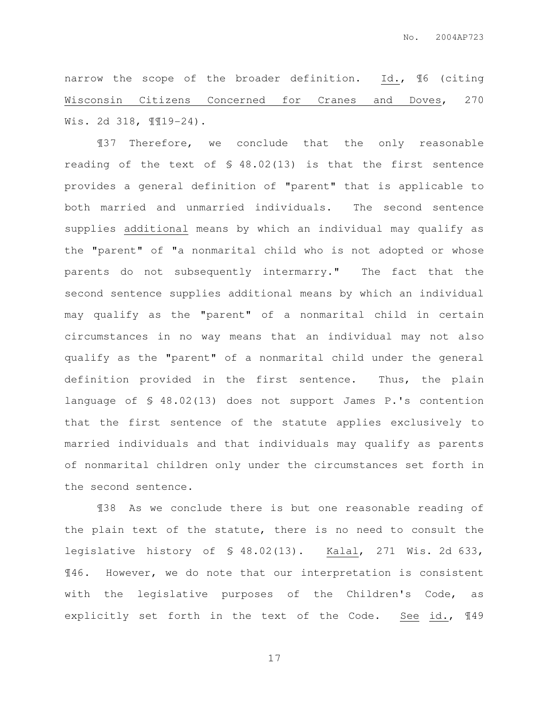narrow the scope of the broader definition. Id., ¶6 (citing Wisconsin Citizens Concerned for Cranes and Doves, 270 Wis. 2d 318, ¶¶19-24).

¶37 Therefore, we conclude that the only reasonable reading of the text of § 48.02(13) is that the first sentence provides a general definition of "parent" that is applicable to both married and unmarried individuals. The second sentence supplies additional means by which an individual may qualify as the "parent" of "a nonmarital child who is not adopted or whose parents do not subsequently intermarry." The fact that the second sentence supplies additional means by which an individual may qualify as the "parent" of a nonmarital child in certain circumstances in no way means that an individual may not also qualify as the "parent" of a nonmarital child under the general definition provided in the first sentence. Thus, the plain language of § 48.02(13) does not support James P.'s contention that the first sentence of the statute applies exclusively to married individuals and that individuals may qualify as parents of nonmarital children only under the circumstances set forth in the second sentence.

¶38 As we conclude there is but one reasonable reading of the plain text of the statute, there is no need to consult the legislative history of § 48.02(13). Kalal, 271 Wis. 2d 633, ¶46. However, we do note that our interpretation is consistent with the legislative purposes of the Children's Code, as explicitly set forth in the text of the Code. See id., ¶49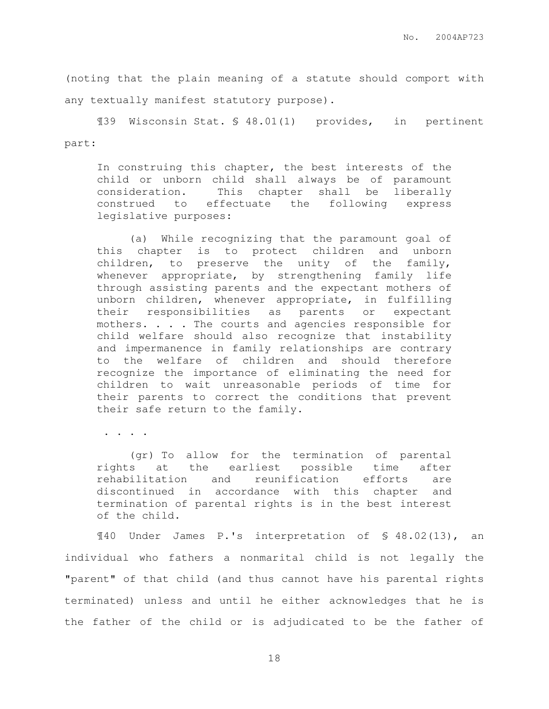(noting that the plain meaning of a statute should comport with any textually manifest statutory purpose).

¶39 Wisconsin Stat. § 48.01(1) provides, in pertinent part:

In construing this chapter, the best interests of the child or unborn child shall always be of paramount consideration. This chapter shall be liberally construed to effectuate the following express legislative purposes:

(a) While recognizing that the paramount goal of this chapter is to protect children and unborn children, to preserve the unity of the family, whenever appropriate, by strengthening family life through assisting parents and the expectant mothers of unborn children, whenever appropriate, in fulfilling their responsibilities as parents or expectant mothers. . . . The courts and agencies responsible for child welfare should also recognize that instability and impermanence in family relationships are contrary to the welfare of children and should therefore recognize the importance of eliminating the need for children to wait unreasonable periods of time for their parents to correct the conditions that prevent their safe return to the family.

. . . .

 (gr) To allow for the termination of parental rights at the earliest possible time after rehabilitation and reunification efforts are discontinued in accordance with this chapter and termination of parental rights is in the best interest of the child.

¶40 Under James P.'s interpretation of § 48.02(13), an individual who fathers a nonmarital child is not legally the "parent" of that child (and thus cannot have his parental rights terminated) unless and until he either acknowledges that he is the father of the child or is adjudicated to be the father of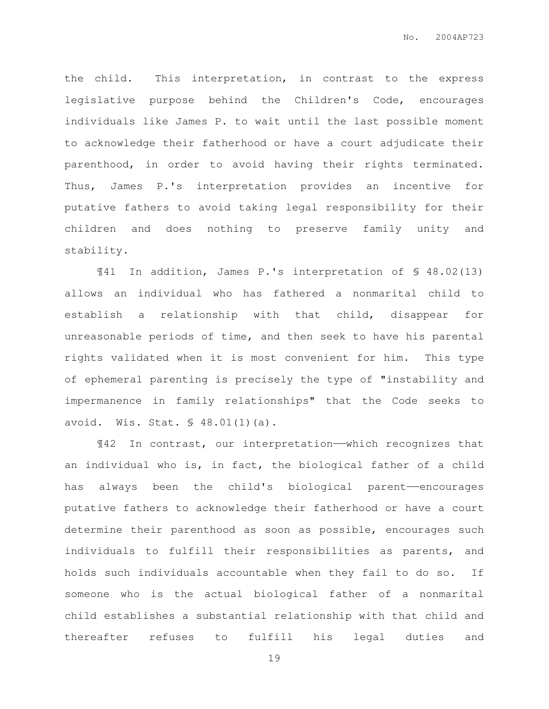the child. This interpretation, in contrast to the express legislative purpose behind the Children's Code, encourages individuals like James P. to wait until the last possible moment to acknowledge their fatherhood or have a court adjudicate their parenthood, in order to avoid having their rights terminated. Thus, James P.'s interpretation provides an incentive for putative fathers to avoid taking legal responsibility for their children and does nothing to preserve family unity and stability.

¶41 In addition, James P.'s interpretation of § 48.02(13) allows an individual who has fathered a nonmarital child to establish a relationship with that child, disappear for unreasonable periods of time, and then seek to have his parental rights validated when it is most convenient for him. This type of ephemeral parenting is precisely the type of "instability and impermanence in family relationships" that the Code seeks to avoid. Wis. Stat. § 48.01(1)(a).

¶42 In contrast, our interpretation——which recognizes that an individual who is, in fact, the biological father of a child has always been the child's biological parent——encourages putative fathers to acknowledge their fatherhood or have a court determine their parenthood as soon as possible, encourages such individuals to fulfill their responsibilities as parents, and holds such individuals accountable when they fail to do so. If someone who is the actual biological father of a nonmarital child establishes a substantial relationship with that child and thereafter refuses to fulfill his legal duties and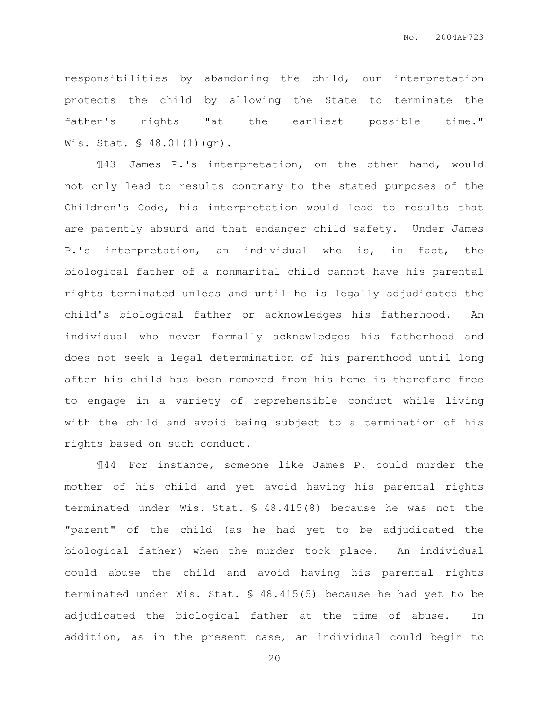responsibilities by abandoning the child, our interpretation protects the child by allowing the State to terminate the father's rights "at the earliest possible time." Wis. Stat. § 48.01(1)(gr).

¶43 James P.'s interpretation, on the other hand, would not only lead to results contrary to the stated purposes of the Children's Code, his interpretation would lead to results that are patently absurd and that endanger child safety. Under James P.'s interpretation, an individual who is, in fact, the biological father of a nonmarital child cannot have his parental rights terminated unless and until he is legally adjudicated the child's biological father or acknowledges his fatherhood. An individual who never formally acknowledges his fatherhood and does not seek a legal determination of his parenthood until long after his child has been removed from his home is therefore free to engage in a variety of reprehensible conduct while living with the child and avoid being subject to a termination of his rights based on such conduct.

¶44 For instance, someone like James P. could murder the mother of his child and yet avoid having his parental rights terminated under Wis. Stat. § 48.415(8) because he was not the "parent" of the child (as he had yet to be adjudicated the biological father) when the murder took place. An individual could abuse the child and avoid having his parental rights terminated under Wis. Stat. § 48.415(5) because he had yet to be adjudicated the biological father at the time of abuse. In addition, as in the present case, an individual could begin to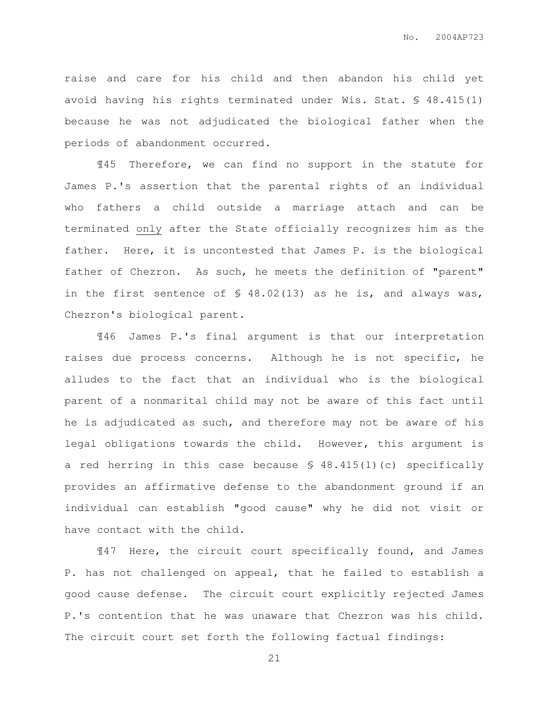raise and care for his child and then abandon his child yet avoid having his rights terminated under Wis. Stat. § 48.415(1) because he was not adjudicated the biological father when the periods of abandonment occurred.

¶45 Therefore, we can find no support in the statute for James P.'s assertion that the parental rights of an individual who fathers a child outside a marriage attach and can be terminated only after the State officially recognizes him as the father. Here, it is uncontested that James P. is the biological father of Chezron. As such, he meets the definition of "parent" in the first sentence of § 48.02(13) as he is, and always was, Chezron's biological parent.

¶46 James P.'s final argument is that our interpretation raises due process concerns. Although he is not specific, he alludes to the fact that an individual who is the biological parent of a nonmarital child may not be aware of this fact until he is adjudicated as such, and therefore may not be aware of his legal obligations towards the child. However, this argument is a red herring in this case because § 48.415(1)(c) specifically provides an affirmative defense to the abandonment ground if an individual can establish "good cause" why he did not visit or have contact with the child.

¶47 Here, the circuit court specifically found, and James P. has not challenged on appeal, that he failed to establish a good cause defense. The circuit court explicitly rejected James P.'s contention that he was unaware that Chezron was his child. The circuit court set forth the following factual findings: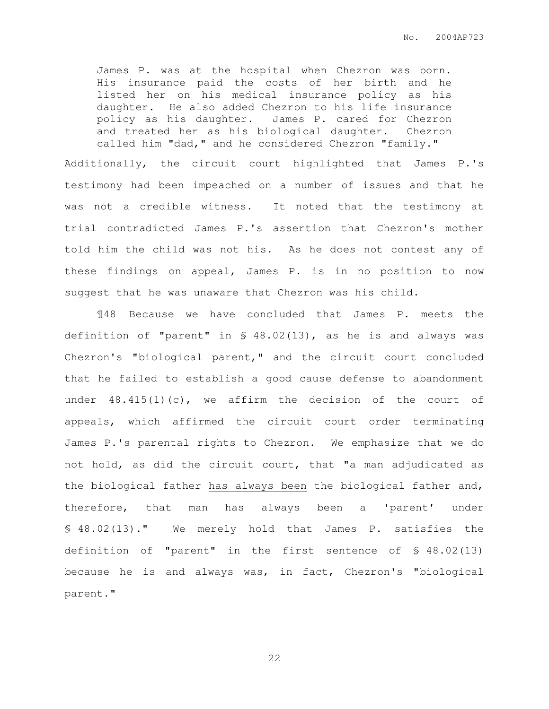No. 2004AP723

James P. was at the hospital when Chezron was born. His insurance paid the costs of her birth and he listed her on his medical insurance policy as his daughter. He also added Chezron to his life insurance policy as his daughter. James P. cared for Chezron and treated her as his biological daughter. Chezron called him "dad," and he considered Chezron "family."

Additionally, the circuit court highlighted that James P.'s testimony had been impeached on a number of issues and that he was not a credible witness. It noted that the testimony at trial contradicted James P.'s assertion that Chezron's mother told him the child was not his. As he does not contest any of these findings on appeal, James P. is in no position to now suggest that he was unaware that Chezron was his child.

¶48 Because we have concluded that James P. meets the definition of "parent" in § 48.02(13), as he is and always was Chezron's "biological parent," and the circuit court concluded that he failed to establish a good cause defense to abandonment under  $48.415(1)(c)$ , we affirm the decision of the court of appeals, which affirmed the circuit court order terminating James P.'s parental rights to Chezron. We emphasize that we do not hold, as did the circuit court, that "a man adjudicated as the biological father has always been the biological father and, therefore, that man has always been a 'parent' under § 48.02(13)." We merely hold that James P. satisfies the definition of "parent" in the first sentence of § 48.02(13) because he is and always was, in fact, Chezron's "biological parent."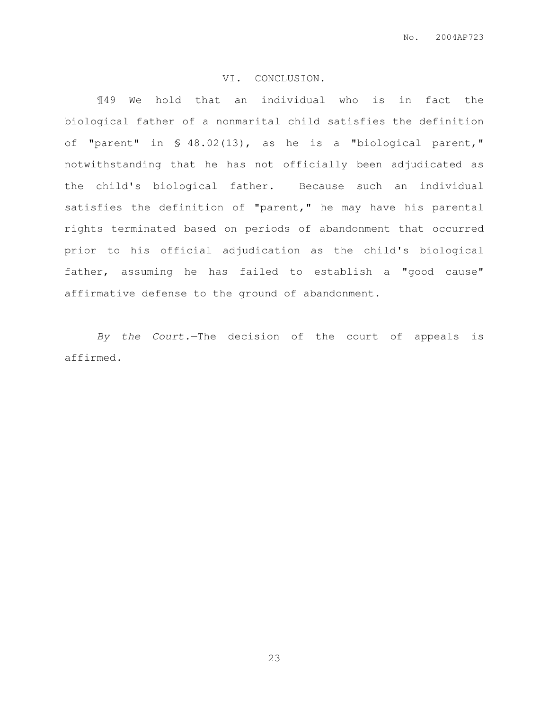# VI. CONCLUSION.

¶49 We hold that an individual who is in fact the biological father of a nonmarital child satisfies the definition of "parent" in § 48.02(13), as he is a "biological parent," notwithstanding that he has not officially been adjudicated as the child's biological father. Because such an individual satisfies the definition of "parent," he may have his parental rights terminated based on periods of abandonment that occurred prior to his official adjudication as the child's biological father, assuming he has failed to establish a "good cause" affirmative defense to the ground of abandonment.

By the Court.—The decision of the court of appeals is affirmed.